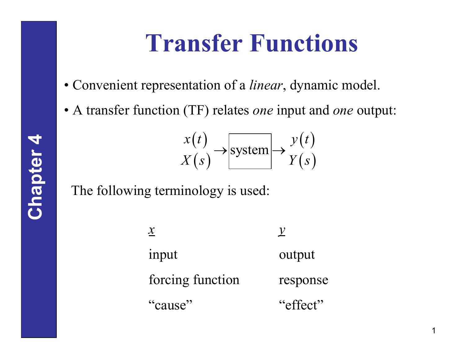# **Transfer Functions**

- Convenient representation of a *linear*, dynamic model.
- A transfer function (TF) relates *one* input and *one* output:

$$
\begin{array}{c}\n x(t) \\
X(s)\n\end{array}\n\rightarrow\n\begin{array}{c}\n \text{system} \\
\text{system}\n\end{array}\n\rightarrow\n\begin{array}{c}\n y(t) \\
Y(s)\n\end{array}
$$

#### The following terminology is used:

*y* output response "effect" *x* input forcing function "cause"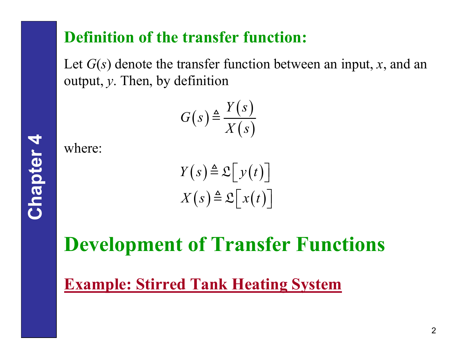## **Definition of the transfer function:**

Let *G*(*s*) denote the transfer function between an input, *<sup>x</sup>*, and an output, *y*. Then, by definition

$$
G(s) \triangleq \frac{Y(s)}{X(s)}
$$

where:

$$
Y(s) \triangleq \mathfrak{L}[y(t)]
$$

$$
X(s) \triangleq \mathfrak{L}[x(t)]
$$

## **Development of Transfer Functions**

### **Example: Stirred Tank Heating System**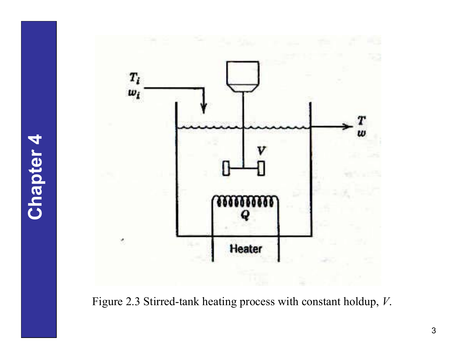

Figure 2.3 Stirred-tank heating process with constant holdup, *V*.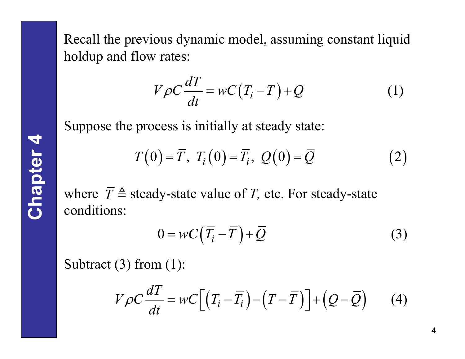Recall the previous dynamic model, assuming constant liquid holdup and flow rates:

$$
V\rho C \frac{dT}{dt} = wC(T_i - T) + Q \qquad (1)
$$

Suppose the process is initially at steady state:

$$
T(0) = \overline{T}, T_i(0) = \overline{T}_i, Q(0) = \overline{Q}
$$
 (2)

where  $\overline{T} \triangleq$  steady-state value of *T*, etc. For steady-state conditions:

$$
0 = wC(\overline{T}_i - \overline{T}) + \overline{Q}
$$
 (3)

Subtract (3) from (1):

$$
V\rho C \frac{dT}{dt} = wC\Big[\Big(T_i - \overline{T}_i\Big) - \Big(T - \overline{T}\Big)\Big] + \Big(Q - \overline{Q}\Big) \qquad (4)
$$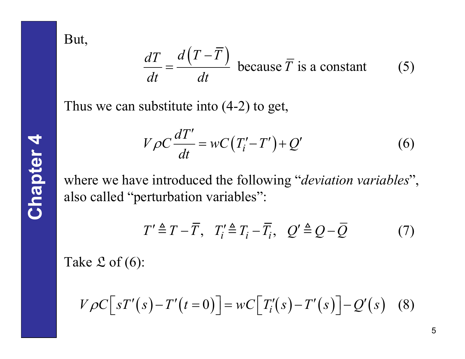But,

$$
\frac{dT}{dt} = \frac{d\left(T - \overline{T}\right)}{dt} \text{ because } \overline{T} \text{ is a constant} \tag{5}
$$

Thus we can substitute into (4-2) to get,

$$
V\rho C \frac{dT'}{dt} = wC(T'_i - T') + Q'
$$
 (6)

where we have introduced the following "*deviation variables*", also called "perturbation variables":

$$
T' \triangleq T - \overline{T}, \quad T_i' \triangleq T_i - \overline{T}_i, \quad Q' \triangleq Q - \overline{Q} \tag{7}
$$

Take  ${\mathfrak{L}}$  of (6):

$$
V\rho C\big[sT'(s)-T'(t=0)\big] = wC\big[T'_i(s)-T'(s)\big] - Q'(s) \quad (8)
$$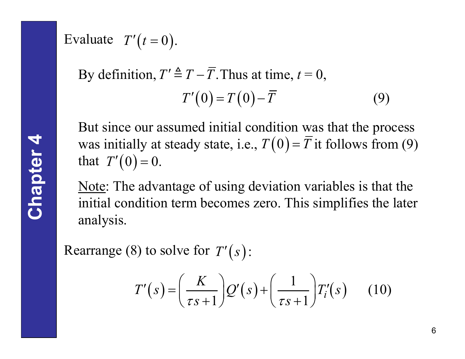Evaluate  $T'(t=0)$ .

By definition, 
$$
T' \triangleq T - \overline{T}
$$
. Thus at time,  $t = 0$ ,  
\n
$$
T'(0) = T(0) - \overline{T}
$$
\n(9)

But since our assumed initial condition was that the process was initially at steady state, i.e.,  $T(0) = \overline{T}$  it follows from (9) that  $T'(0) = 0$ .

Note: The advantage of using deviation variables is that the initial condition term becomes zero. This simplifies the later analysis.

Rearrange (8) to solve for  $T'(s)$ :

$$
T'(s) = \left(\frac{K}{\tau s + 1}\right) Q'(s) + \left(\frac{1}{\tau s + 1}\right) T'_i(s) \qquad (10)
$$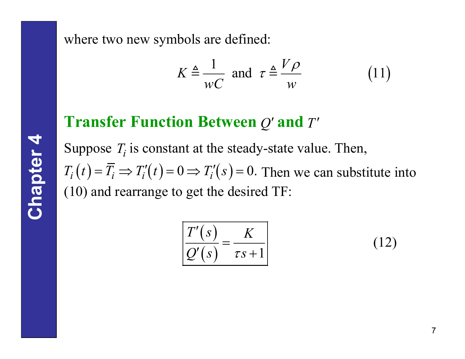where two new symbols are defined:

$$
K \triangleq \frac{1}{wC} \text{ and } \tau \triangleq \frac{V\rho}{w} \tag{11}
$$

### **Transfer Function Between**  $Q'$  **and**  $T'$

Suppose  $T_i$  is constant at the steady-state value. Then,  $T_i(t) = \overline{T}_i \Rightarrow T'_i(t) = 0 \Rightarrow T'_i(s) = 0.$  Then we can substitute into (10) and rearrange to get the desired TF:

$$
\frac{T'(s)}{Q'(s)} = \frac{K}{\tau s + 1}
$$
\n(12)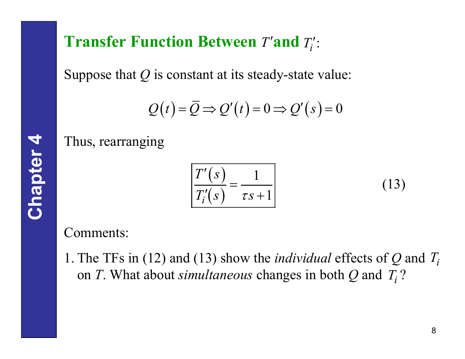## **Transfer Function Between** *T***'and** *T***':**

Suppose that *Q* is constant at its steady-state value:

$$
Q(t) = \overline{Q} \Rightarrow Q'(t) = 0 \Rightarrow Q'(s) = 0
$$

Thus, rearranging

$$
\frac{T'(s)}{T'_i(s)} = \frac{1}{\tau s + 1}
$$
\n(13)

Comments:

1. The TFs in (12) and (13) show the *individual* effects of *Q* and *Ti*on *T*. What about *simultaneous* changes in both  $Q$  and  $T_i$ ?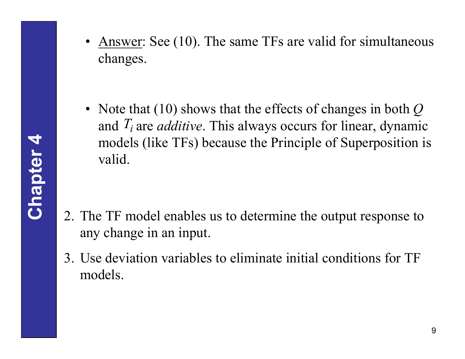**Chapter 4**

• Answer: See (10). The same TFs are valid for simultaneous changes.

• Note that (10) shows that the effects of changes in both *Q* and  $T_i$  are *additive*. This always occurs for linear, dynamic models (like TFs) because the Principle of Superposition is valid.

- 2. The TF model enables us to determine the output response to any change in an input.
- 3. Use deviation variables to eliminate initial conditions for TF models.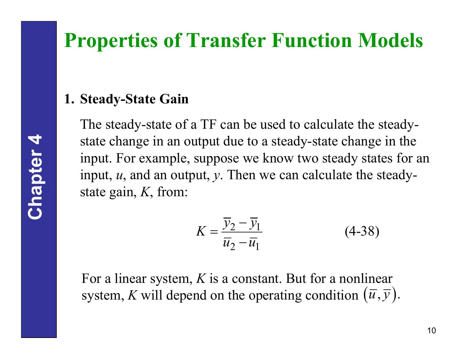## **Properties of Transfer Function Models**

#### **1. Steady-State Gain**

The steady-state of a TF can be used to calculate the steadystate change in an output due to a steady-state change in the input. For example, suppose we know two steady states for an input, *<sup>u</sup>*, and an output, *y*. Then we can calculate the steadystate gain, *K*, from:

$$
K = \frac{\overline{y}_2 - \overline{y}_1}{\overline{u}_2 - \overline{u}_1}
$$
 (4-38)

For a linear system, *K* is a constant. But for a nonlinear system, *K* will depend on the operating condition  $(\overline{u}, \overline{y})$ .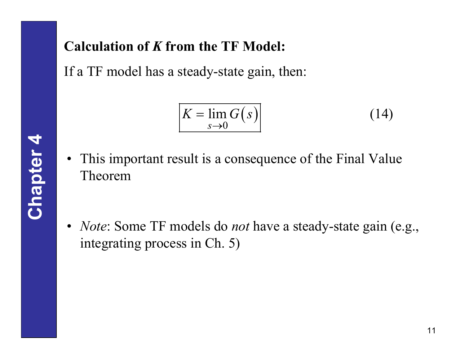#### **Calculation of** *K* **from the TF Model:**

If a TF model has a steady-state gain, then:

$$
K = \lim_{s \to 0} G(s) \tag{14}
$$

• This important result is a consequence of the Final Value Theorem

• *Note*: Some TF models do *not* have a steady-state gain (e.g., integrating process in Ch. 5)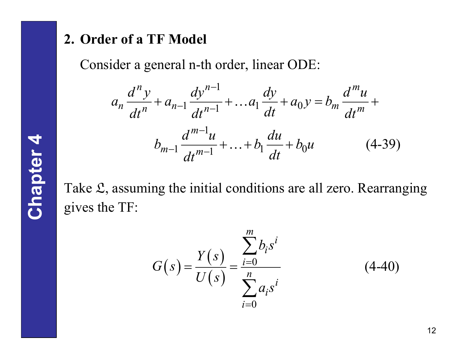#### **2. Order of a TF Model**

Consider a general n-th order, linear ODE:

$$
a_n \frac{d^n y}{dt^n} + a_{n-1} \frac{dy^{n-1}}{dt^{n-1}} + \dots + a_1 \frac{dy}{dt} + a_0 y = b_m \frac{d^m u}{dt^m} + b_{m-1} \frac{d^{m-1} u}{dt^{m-1}} + \dots + b_1 \frac{du}{dt} + b_0 u \qquad (4-39)
$$

Take L, assuming the initial conditions are all zero. Rearranging gives the TF:

$$
G(s) = \frac{Y(s)}{U(s)} = \frac{\sum_{i=0}^{m} b_i s^i}{\sum_{i=0}^{n} a_i s^i}
$$
 (4-40)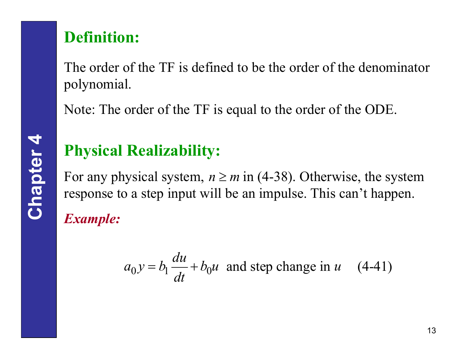## **Definition:**

The order of the TF is defined to be the order of the denominator polynomial.

Note: The order of the TF is equal to the order of the ODE.

## **Physical Realizability:**

For any physical system,  $n \ge m$  in (4-38). Otherwise, the system  $\overline{\phantom{a}}$ response to a step input will be an impulse. This can't happen.

*Example:*

$$
a_0 y = b_1 \frac{du}{dt} + b_0 u
$$
 and step change in u (4-41)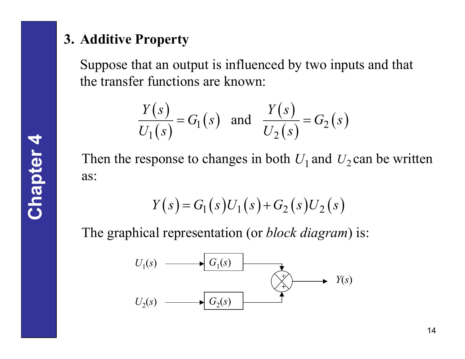#### **3. Additive Property**

Suppose that an output is influenced by two inputs and that the transfer functions are known:

$$
\frac{Y(s)}{U_1(s)} = G_1(s) \quad \text{and} \quad \frac{Y(s)}{U_2(s)} = G_2(s)
$$

Then the response to changes in both  $U_1$  and  $U_2$  can be written as:

$$
Y(s) = G_1(s)U_1(s) + G_2(s)U_2(s)
$$

The graphical representation (or *block diagram*) is:

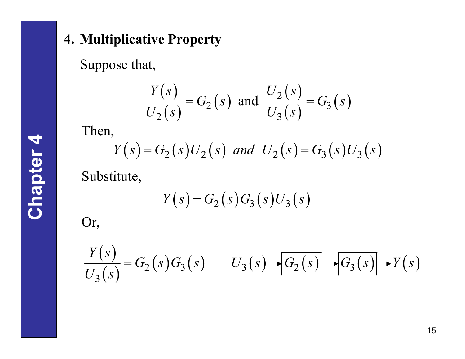Suppose that,

$$
\frac{Y(s)}{U_2(s)} = G_2(s) \text{ and } \frac{U_2(s)}{U_3(s)} = G_3(s)
$$

Then,

$$
Y(s) = G_2(s)U_2(s)
$$
 and  $U_2(s) = G_3(s)U_3(s)$ 

Substitute,

$$
Y(s) = G_2(s)G_3(s)U_3(s)
$$

Or,

$$
\frac{Y(s)}{U_3(s)} = G_2(s)G_3(s) \qquad U_3(s) \rightarrow G_2(s) \rightarrow G_3(s) \rightarrow Y(s)
$$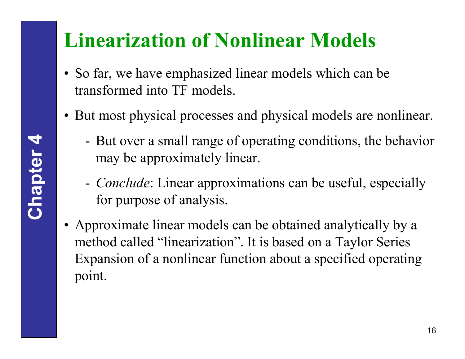## **Linearization of Nonlinear Models**

- So far, we have emphasized linear models which can be transformed into TF models.
- But most physical processes and physical models are nonlinear.
	- - But over a small range of operating conditions, the behavior may be approximately linear.
	- - *Conclude*: Linear approximations can be useful, especially for purpose of analysis.
- Approximate linear models can be obtained analytically by a method called "linearization". It is based on a Taylor Series Expansion of a nonlinear function about a specified operating point.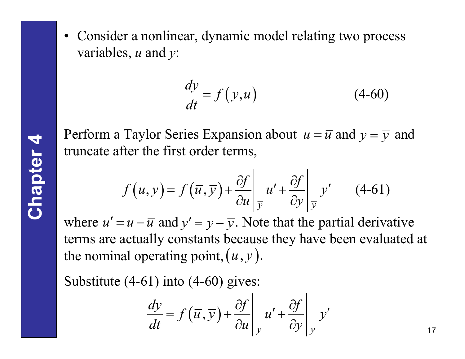• Consider a nonlinear, dynamic model relating two process variables, *<sup>u</sup>* and *y*:

$$
\frac{dy}{dt} = f(y, u) \tag{4-60}
$$

Perform a Taylor Series Expansion about  $u = \overline{u}$  and  $y = \overline{y}$  and truncate after the first order terms,

$$
f(u, y) = f(\overline{u}, \overline{y}) + \frac{\partial f}{\partial u}\bigg|_{\overline{y}} u' + \frac{\partial f}{\partial y}\bigg|_{\overline{y}} y'
$$
 (4-61)

where  $u' = u - \overline{u}$  and  $y' = y - \overline{y}$ . Note that the partial derivative terms are actually constants because they have been evaluated at the nominal operating point,  $(\overline{u}, \overline{y})$ . ′ $y' = u - \overline{u}$  and  $y' = y - \overline{y}$ 

Substitute (4-61) into (4-60) gives:

$$
\frac{dy}{dt} = f(\overline{u}, \overline{y}) + \frac{\partial f}{\partial u}\bigg|_{\overline{y}} u' + \frac{\partial f}{\partial y}\bigg|_{\overline{y}} y'
$$

17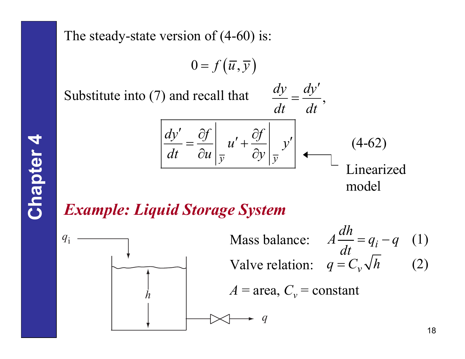The steady-state version of  $(4-60)$  is:

$$
0 = f\left(\overline{u}, \overline{y}\right)
$$

Substitute into  $(7)$  and recall that

$$
\frac{dy}{dt} = \frac{dy'}{dt},
$$

$$
\frac{dy'}{dt} = \frac{\partial f}{\partial u}\left|_{\overline{y}} u' + \frac{\partial f}{\partial y}\right|_{\overline{y}} y'
$$
  $(4-62)$   
Linearized model

### *Example: Liquid Storage System*



Mass balance: Valve relation:  $A = \text{area}, C_v = \text{constant}$  $q_{i} - q$  (1)  $A\frac{dh}{dt} = q_i - q$  $q = C_v \sqrt{h}$  (2) *q*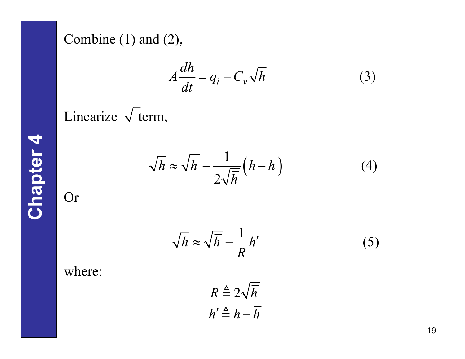Combine (1) and (2),

$$
A\frac{dh}{dt} = q_i - C_v\sqrt{h}
$$
 (3)

Linearize  $\sqrt{\text{term}}$ ,

$$
\sqrt{h} \approx \sqrt{\overline{h}} - \frac{1}{2\sqrt{\overline{h}}} \left( h - \overline{h} \right) \tag{4}
$$

**Chapter 4** Or

$$
\sqrt{h} \approx \sqrt{\overline{h}} - \frac{1}{R} h'
$$
 (5)

where:

$$
R \triangleq 2\sqrt{\overline{h}}
$$

$$
h' \triangleq h - \overline{h}
$$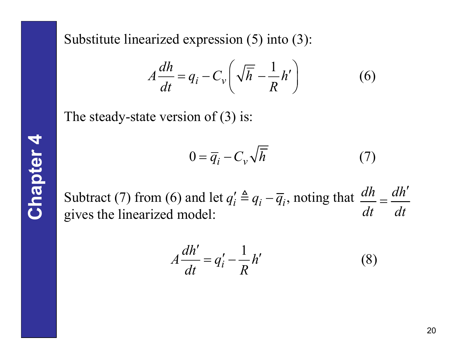Substitute linearized expression (5) into (3):

$$
A\frac{dh}{dt} = q_i - C_v \left(\sqrt{\overline{h}} - \frac{1}{R}h'\right)
$$
 (6)

The steady-state version of (3) is:

$$
0 = \overline{q}_i - C_v \sqrt{\overline{h}} \tag{7}
$$

Subtract (7) from (6) and let  $q'_i \triangleq q_i - \overline{q}_i$ , noting that  $\frac{dh}{dt} = \frac{dh'}{dt}$ gives the linearized model: *dt dt*  $=$  $\frac{$ 

$$
A\frac{dh'}{dt} = q'_i - \frac{1}{R}h'
$$
 (8)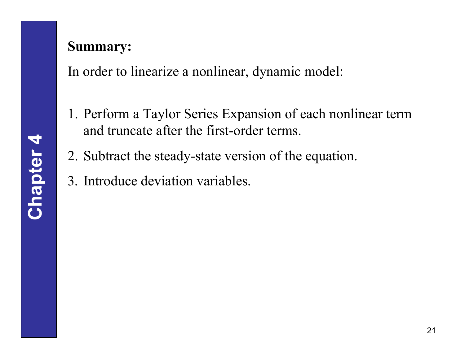#### **Summary:**

In order to linearize a nonlinear, dynamic model:

- 1. Perform a Taylor Series Expansion of each nonlinear term and truncate after the first-order terms.
- 2. Subtract the steady-state version of the equation.
- 3. Introduce deviation variables.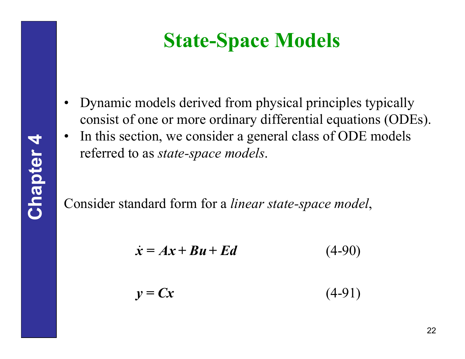## **State-Space Models**

- • Dynamic models derived from physical principles typically consist of one or more ordinary differential equations (ODEs).
- • In this section, we consider a general class of ODE models referred to as *state-space models*.

Consider standard form for a *linear state-space model*,

$$
\dot{\mathbf{x}} = A\mathbf{x} + B\mathbf{u} + Ed \tag{4-90}
$$

$$
y = Cx \tag{4-91}
$$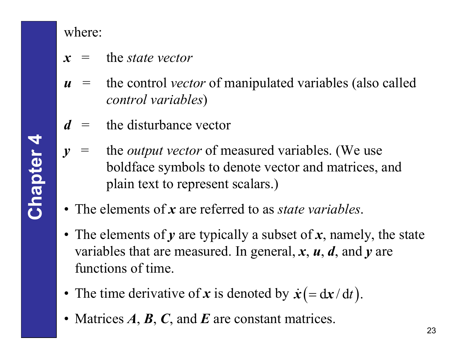where:

- $x =$ the *state* vector
- *u* = the control *vector* of manipulated variables (also called *control variables*)
- *d* = the disturbance vector
- *y* = the *output vector* of measured variables. (We use boldface symbols to denote vector and matrices, and plain text to represent scalars.)
- The elements of *<sup>x</sup>* are referred to as *state variables*.
- The elements of *y* are typically a subset of *<sup>x</sup>*, namely, the state variables that are measured. In general, *<sup>x</sup>*, *u*, *d*, and *y* are functions of time.
- The time derivative of x is denoted by  $\dot{x}$  = dx  $\dot{\mathbf{x}} = \mathrm{d} \mathbf{x} / \mathrm{d} t$ .
- Matrices *A*, *B*, *C*, and *E* are constant matrices.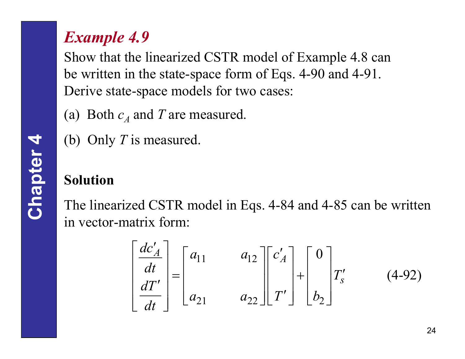## *Example 4.9*

Show that the linearized CSTR model of Example 4.8 can be written in the state-space form of Eqs. 4-90 and 4-91. Derive state-space models for two cases:

- (a) Both  $c_A$  and  $T$  are measured.
- (b) Only *T* is measured.

#### **Solution**

The linearized CSTR model in Eqs. 4-84 and 4-85 can be written in vector-matrix form:

$$
\begin{bmatrix} \frac{dc'_A}{dt} \\ \frac{dT'}{dt} \end{bmatrix} = \begin{bmatrix} a_{11} & a_{12} \\ a_{21} & a_{22} \end{bmatrix} \begin{bmatrix} c'_A \\ r'_B \end{bmatrix} + \begin{bmatrix} 0 \\ r'_s \end{bmatrix} T'_s \qquad (4-92)
$$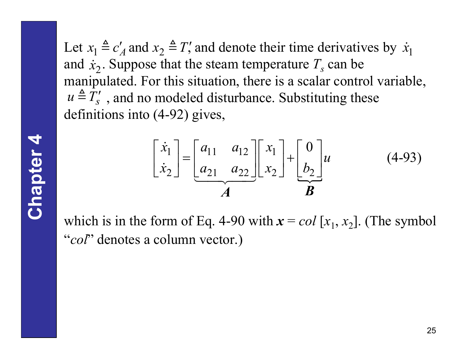Let  $x_1 \triangleq c'_A$  and  $x_2 \triangleq T'$ , and denote their time derivatives by  $\dot{x}_1$ and  $\dot{x}_2$ . Suppose that the steam temperature  $T_s$  can be manipulated. For this situation, there is a scalar control variable,  $u \triangleq T_s'$ , and no modeled disturbance. Substituting these definitions into (4-92) gives,

$$
\begin{bmatrix} \dot{x}_1 \\ \dot{x}_2 \end{bmatrix} = \begin{bmatrix} a_{11} & a_{12} \\ a_{21} & a_{22} \end{bmatrix} \begin{bmatrix} x_1 \\ x_2 \end{bmatrix} + \begin{bmatrix} 0 \\ b_2 \end{bmatrix} u \tag{4-93}
$$

which is in the form of Eq. 4-90 with  $x = col[x_1, x_2]$ . (The symbol "*col*" denotes a column vector.)